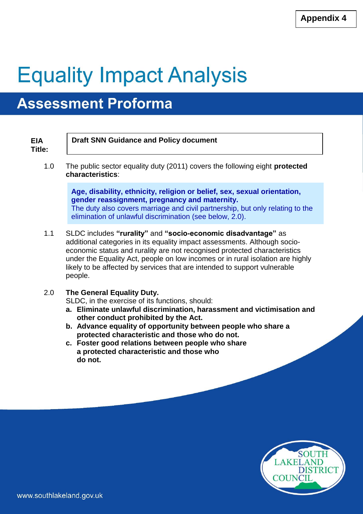# **Equality Impact Analysis**

# **Assessment Proforma**

| <b>EIA</b><br>Title: | <b>Draft SNN Guidance and Policy document</b>                                                                                                                                                                                                                                                                                                                                                     |
|----------------------|---------------------------------------------------------------------------------------------------------------------------------------------------------------------------------------------------------------------------------------------------------------------------------------------------------------------------------------------------------------------------------------------------|
| 1.0                  | The public sector equality duty (2011) covers the following eight <b>protected</b><br>characteristics:                                                                                                                                                                                                                                                                                            |
|                      | Age, disability, ethnicity, religion or belief, sex, sexual orientation,<br>gender reassignment, pregnancy and maternity.<br>The duty also covers marriage and civil partnership, but only relating to the<br>elimination of unlawful discrimination (see below, 2.0).                                                                                                                            |
| 1.1                  | SLDC includes "rurality" and "socio-economic disadvantage" as<br>additional categories in its equality impact assessments. Although socio-<br>economic status and rurality are not recognised protected characteristics<br>under the Equality Act, people on low incomes or in rural isolation are highly<br>likely to be affected by services that are intended to support vulnerable<br>people. |
| 2.0                  | The General Equality Duty.<br>SLDC, in the exercise of its functions, should:<br>a. Eliminate unlawful discrimination, harassment and victimisation and<br>other conduct prohibited by the Act.                                                                                                                                                                                                   |

- **b. Advance equality of opportunity between people who share a protected characteristic and those who do not.**
- **c. Foster good relations between people who share a protected characteristic and those who do not.**

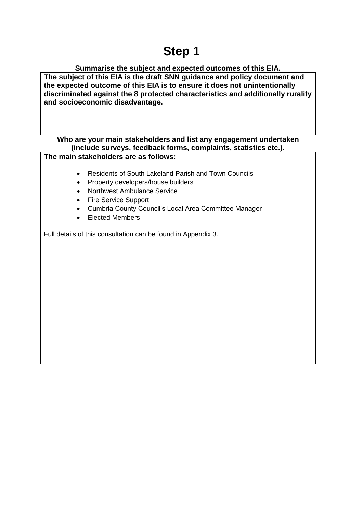# **Step 1**

#### **Summarise the subject and expected outcomes of this EIA.**

**The subject of this EIA is the draft SNN guidance and policy document and the expected outcome of this EIA is to ensure it does not unintentionally discriminated against the 8 protected characteristics and additionally rurality and socioeconomic disadvantage.**

#### **Who are your main stakeholders and list any engagement undertaken (include surveys, feedback forms, complaints, statistics etc.).**

**The main stakeholders are as follows:**

- Residents of South Lakeland Parish and Town Councils
- Property developers/house builders
- Northwest Ambulance Service
- Fire Service Support
- Cumbria County Council's Local Area Committee Manager
- Elected Members

Full details of this consultation can be found in Appendix 3.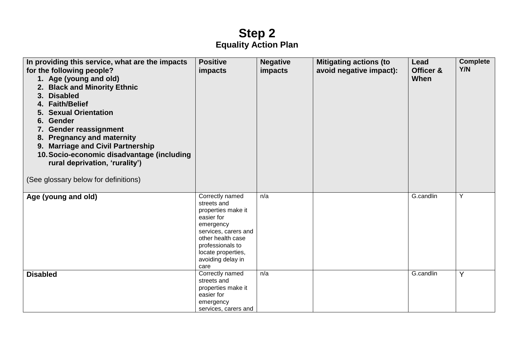### **Step 2 Equality Action Plan**

| In providing this service, what are the impacts<br>for the following people?<br>1. Age (young and old)<br>2. Black and Minority Ethnic<br><b>Disabled</b><br>3.<br>4. Faith/Belief<br><b>Sexual Orientation</b><br><b>Gender</b><br>6.<br>7. Gender reassignment<br><b>Pregnancy and maternity</b><br>8.<br><b>Marriage and Civil Partnership</b><br>9.<br>10. Socio-economic disadvantage (including<br>rural deprivation, 'rurality')<br>(See glossary below for definitions) | <b>Positive</b><br>impacts                                                                                                                                                                          | <b>Negative</b><br>impacts | <b>Mitigating actions (to</b><br>avoid negative impact): | Lead<br>Officer &<br>When | <b>Complete</b><br>Y/N |
|---------------------------------------------------------------------------------------------------------------------------------------------------------------------------------------------------------------------------------------------------------------------------------------------------------------------------------------------------------------------------------------------------------------------------------------------------------------------------------|-----------------------------------------------------------------------------------------------------------------------------------------------------------------------------------------------------|----------------------------|----------------------------------------------------------|---------------------------|------------------------|
| Age (young and old)                                                                                                                                                                                                                                                                                                                                                                                                                                                             | Correctly named<br>streets and<br>properties make it<br>easier for<br>emergency<br>services, carers and<br>other health case<br>professionals to<br>locate properties,<br>avoiding delay in<br>care | n/a                        |                                                          | G.candlin                 | Y                      |
| <b>Disabled</b>                                                                                                                                                                                                                                                                                                                                                                                                                                                                 | Correctly named<br>streets and<br>properties make it<br>easier for<br>emergency<br>services, carers and                                                                                             | n/a                        |                                                          | G.candlin                 | Y                      |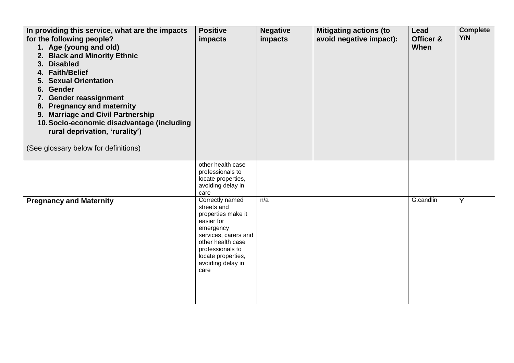| In providing this service, what are the impacts<br>for the following people?<br>1. Age (young and old)<br><b>Black and Minority Ethnic</b><br>2.<br><b>Disabled</b><br>3 <sub>1</sub><br>4. Faith/Belief<br><b>Sexual Orientation</b><br><b>Gender</b><br>6.<br>7. Gender reassignment<br><b>Pregnancy and maternity</b><br>8.<br><b>Marriage and Civil Partnership</b><br>9.<br>10. Socio-economic disadvantage (including<br>rural deprivation, 'rurality')<br>(See glossary below for definitions) | <b>Positive</b><br>impacts                                                                                                                                                                          | <b>Negative</b><br>impacts | <b>Mitigating actions (to</b><br>avoid negative impact): | Lead<br>Officer &<br>When | <b>Complete</b><br><b>Y/N</b> |
|-------------------------------------------------------------------------------------------------------------------------------------------------------------------------------------------------------------------------------------------------------------------------------------------------------------------------------------------------------------------------------------------------------------------------------------------------------------------------------------------------------|-----------------------------------------------------------------------------------------------------------------------------------------------------------------------------------------------------|----------------------------|----------------------------------------------------------|---------------------------|-------------------------------|
|                                                                                                                                                                                                                                                                                                                                                                                                                                                                                                       | other health case<br>professionals to<br>locate properties,<br>avoiding delay in<br>care                                                                                                            |                            |                                                          |                           |                               |
| <b>Pregnancy and Maternity</b>                                                                                                                                                                                                                                                                                                                                                                                                                                                                        | Correctly named<br>streets and<br>properties make it<br>easier for<br>emergency<br>services, carers and<br>other health case<br>professionals to<br>locate properties,<br>avoiding delay in<br>care | n/a                        |                                                          | G.candlin                 | Y                             |
|                                                                                                                                                                                                                                                                                                                                                                                                                                                                                                       |                                                                                                                                                                                                     |                            |                                                          |                           |                               |